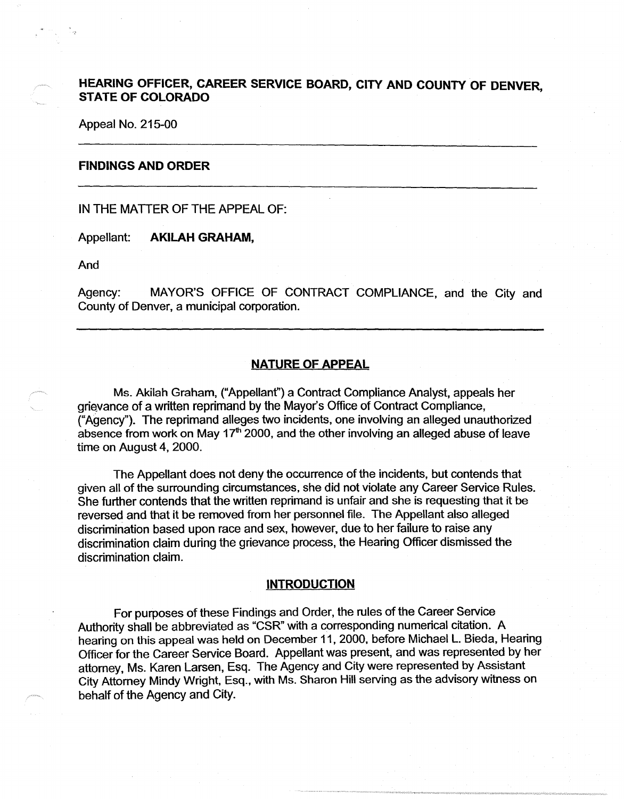# **HEARING OFFICER, CAREER SERVICE BOARD, CITY AND COUNTY OF DENVER STATE OF COLORADO** '

Appeal No. 215-00

### **FINDINGS AND ORDER**

IN THE MATTER OF THE APPEAL OF:

Appellant: **AKILAH GRAHAM,** 

And

Agency: MAYOR'S OFFICE OF CONTRACT COMPLIANCE, and the City and County of Denver, a municipal corporation.

## **NATURE OF APPEAL**

Ms. Akilah Graham, ("Appellant") a Contract Compliance Analyst, appeals her grievance of a written reprimand by the Mayor's Office of Contract Compliance, ("Agency"). The reprimand alleges two incidents, one involving an alleged unauthorized absence from work on May  $17<sup>th</sup>$  2000, and the other involving an alleged abuse of leave time on August 4, 2000.

The Appellant does not deny the occurrence of the incidents, but contends that given all of the surrounding circumstances, she did not violate any Career Service Rules. She further contends that the written reprimand is unfair and she is requesting that it be reversed and that it be removed from her personnel file. The Appellant also alleged discrimination based upon race and sex, however, due to her failure to raise any discrimination claim during the grievance process, the Hearing Officer dismissed the discrimination claim.

## **INTRODUCTION**

For purposes of these Findings and Order, the rules of the Career Service Authority shall be abbreviated as "CSR" with a corresponding numerical citation. A hearing on this appeal was held on December 11, 2000, before Michael L. Bieda, Hearing Officer for the Career Service Board. Appellant was present, and was represented by her attorney, Ms. Karen Larsen, Esq. The Agency and City were represented by Assistant City Attorney Mindy Wright, Esq., with Ms. Sharon Hill serving as the advisory witness on behalf of the Agency and City.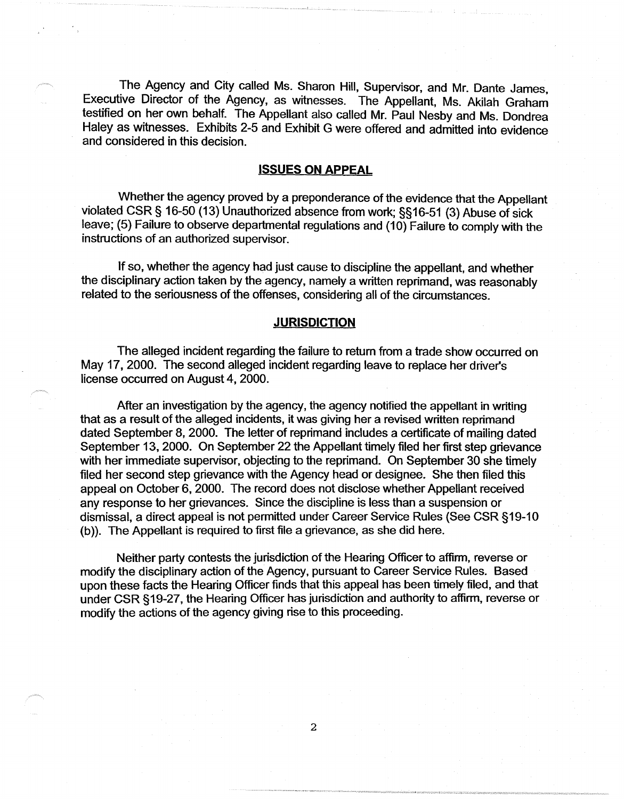The Agency and City called Ms. Sharon Hill, Supervisor, and Mr. Dante James, Executive Director of the Agency, as witnesses. The Appellant, Ms. Akilah Graham testified on her own behalf. The Appellant also called Mr. Paul Nesby and Ms. Dondrea Haley as witnesses. Exhibits 2-5 and Exhibit G were offered and admitted into evidence and considered in this decision.

## **ISSUES ON APPEAL**

Whether the agency proved by a preponderance of the evidence that the Appellant violated CSR§ 16-50 (13) Unauthorized absence from work; §§16-51 (3) Abuse of sick leave; (5) Failure to observe departmental regulations and (10) Failure to comply with the instructions of an authorized supervisor.

If so, whether the agency had just cause to discipline the appellant, and whether the disciplinary action taken by the agency, namely a written reprimand, was reasonably related to the seriousness of the offenses, considering all of the circumstances.

## **JURISDICTION**

The alleged incident regarding the failure to return from a trade show occurred on May 17, 2000. The second alleged incident regarding leave to replace her driver's license occurred on August 4, 2000.

After an investigation by the agency, the agency notified the appellant in writing that as a result of the alleged incidents, it was giving her a revised written reprimand dated September 8, 2000. The letter of reprimand includes a certificate of mailing dated September 13, 2000. On September 22 the Appellant timely filed her first step grievance with her immediate supervisor, objecting to the reprimand. On September 30 she timely filed her second step grievance with the Agency head or designee. She then filed this appeal on October 6, 2000. The record does not disclose whether Appellant received any response to her grievances. Since the discipline is less than a suspension or dismissal, a direct appeal is not permitted under Career Service Rules (See CSR § 19-10 (b)). The Appellant is required to first file a grievance, as she did here.

Neither party contests the jurisdiction of the Hearing Officer to affirm, reverse or modify the disciplinary action of the Agency, pursuant to Career Service Rules. Based upon these facts the Hearing Officer finds that this appeal has been timely filed, and that under CSR §19-27, the Hearing Officer has jurisdiction and authority to affirm, reverse or modify the actions of the agency giving rise to this proceeding.

2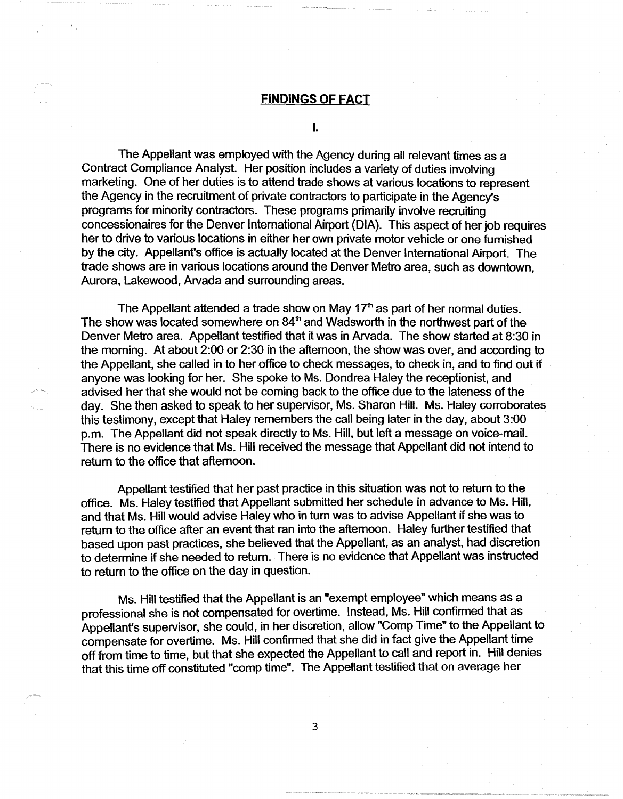## **FINDINGS OF FACT**

I.

The Appellant was employed with the Agency during all relevant times as a Contract Compliance Analyst. Her position includes a variety of duties involving marketing. One of her duties is to attend trade shows at various locations to represent the Agency in the recruitment of private contractors to participate in the Agency's programs for minority contractors. These programs primarily involve recruiting concessionaires for the Denver International Airport (DIA). This aspect of her job requires her to drive to various locations in either her own private motor vehicle or one furnished by the city. Appellant's office is actually located at the Denver International Airport. The trade shows are in various locations around the Denver Metro area, such as downtown, Aurora, Lakewood, Arvada and surrounding areas.

The Appellant attended a trade show on May 17<sup>th</sup> as part of her normal duties. The show was located somewhere on  $84<sup>th</sup>$  and Wadsworth in the northwest part of the Denver Metro area. Appellant testified that it was in Arvada. The show started at 8:30 in the morning. At about 2:00 or 2:30 in the afternoon, the show was over, and according to the Appellant, she called in to her office to check messages, to check in, and to find out if anyone was looking for her. She spoke to Ms. Dondrea Haley the receptionist, and advised her that she would not be coming back to the office due to the lateness of the day. She then asked to speak to her supervisor, Ms. Sharon Hill. Ms. Haley corroborates this testimony, except that Haley remembers the call being later in the day, about 3:00 p.m. The Appellant did not speak directly to Ms. Hill, but left a message on voice-mail. There is no evidence that Ms. Hill received the message that Appellant did not intend to return to the office that afternoon.

Appellant testified that her past practice in this situation was not to return to the office. Ms. Haley testified that Appellant submitted her schedule in advance to Ms. Hill, and that Ms. Hill would advise Haley who in tum was to advise Appellant if she was to return to the office after an event that ran into the afternoon. Haley further testified that based upon past practices, she believed that the Appellant, as an analyst, had discretion to determine if she needed to return. There is no evidence that Appellant was instructed to return to the office on the day in question.

Ms. Hill testified that the Appellant is an "exempt employee" which means as a professional she is not compensated for overtime. Instead, Ms. Hill confirmed that as Appellant's supervisor, she could, in her discretion, allow "Comp Time" to the Appellant to compensate for overtime. Ms. Hill confirmed that she did in fact give the Appellant time off from time to time, but that she expected the Appellant to call and report in. Hill denies that this time off constituted "comp time". The Appellant testified that on average her

3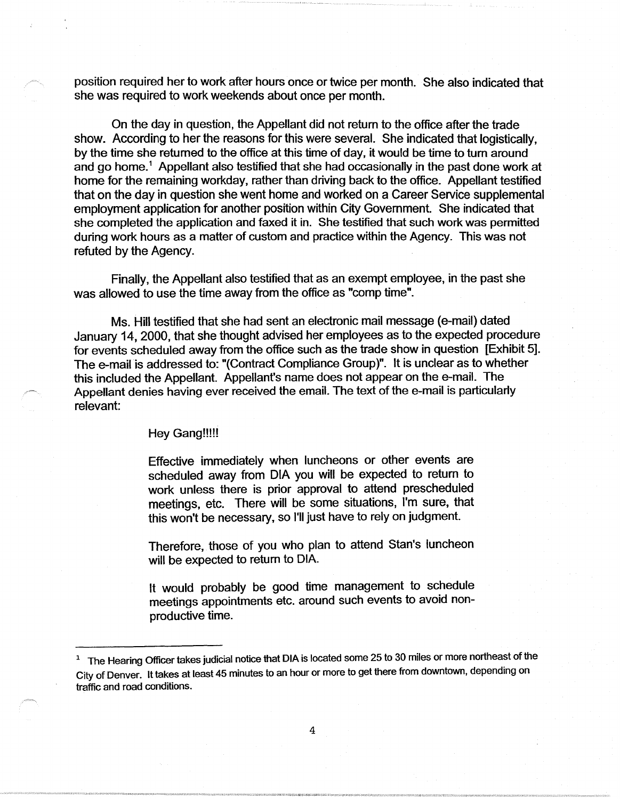position required her to work after hours once or twice per month. She also indicated that she was required to work weekends about once per month.

On the day in question, the Appellant did not return to the office after the trade show. According to her the reasons for this were several. She indicated that logistically, by the time she returned to the office at this time of day, it would be time to tum around and go home.<sup>1</sup> Appellant also testified that she had occasionally in the past done work at home for the remaining workday, rather than driving back to the office. Appellant testified that on the day in question she went home and worked on a Career Service supplemental employment application for another position within City Government. She indicated that she completed the application and faxed it in. She testified that such work was permitted during work hours as a matter of custom and practice within the Agency. This was not refuted by the Agency.

Finally, the Appellant also testified that as an exempt employee, in the past she was allowed to use the time away from the office as "comp time".

Ms. Hill testified that she had sent an electronic mail message (e-mail) dated January 14, 2000, that she thought advised her employees as to the expected procedure for events scheduled away from the office such as the trade show in question [Exhibit 5]. The e-mail is addressed to: "(Contract Compliance Group)". It is unclear as to whether this included the Appellant. Appellant's name does not appear on the e-mail. The Appellant denies having ever received the email. The text of the e-mail is particularly relevant:

## Hey Gang!!!!!

Effective immediately when luncheons or other events are scheduled away from DIA you will be expected to return to work unless there is prior approval to attend prescheduled meetings, etc. There will be some situations, I'm sure, that this won't be necessary, so I'll just have to rely on judgment.

Therefore, those of you who plan to attend Stan's luncheon will be expected to return to DIA.

It would probably be good time management to schedule meetings appointments etc. around such events to avoid nonproductive time.

<sup>&</sup>lt;sup>1</sup> The Hearing Officer takes judicial notice that DIA is located some 25 to 30 miles or more northeast of the City of Denver. It takes at least 45 minutes to an hour or more to get there from downtown, depending on traffic and road conditions.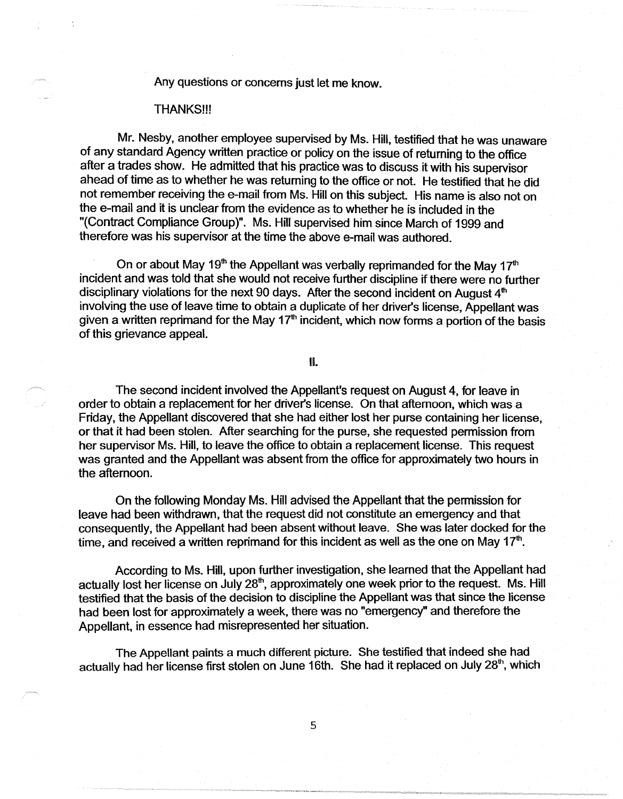Any questions or concerns just let me know.

#### THANKS!!!

Mr. Nesby, another employee supervised by Ms. Hill, testified that he was unaware of any standard Agency written practice or policy on the issue of returning to the office after a trades show. He admitted that his practice was to discuss it with his supervisor ahead of time as to whether he was returning to the office or not. He testified that he did not remember receiving the e-mail from Ms. Hill on this subject. His name is also not on the e-mail and it is unclear from the evidence as to whether he is included in the "(Contract Compliance Group)". Ms. Hill supervised him since March of 1999 and therefore was his supervisor at the time the above e-mail was authored.

On or about May 19<sup>th</sup> the Appellant was verbally reprimanded for the May 17<sup>th</sup> incident and was told that she would not receive further discipline if there were no further disciplinary violations for the next 90 days. After the second incident on August  $4<sup>th</sup>$ involving the use of leave time to obtain a duplicate of her driver's license, Appellant was given a written reprimand for the May 17<sup>th</sup> incident, which now forms a portion of the basis of this grievance appeal.

II.

The second incident involved the Appellant's request on August 4, for leave in order to obtain a replacement for her driver's license. On that afternoon, which was a Friday, the Appellant discovered that she had either lost her purse containing her license, or that it had been stolen. After searching for the purse, she requested permission from her supervisor Ms. Hill, to leave the office to obtain a replacement license. This request was granted and the Appellant was absent from the office for approximately two hours in the afternoon.

On the following Monday Ms. Hill advised the Appellant that the permission for leave had been withdrawn, that the request did not constitute an emergency and that consequently, the Appellant had been absent without leave. She was later docked for the time, and received a written reprimand for this incident as well as the one on May  $17<sup>th</sup>$ .

According to Ms. Hill, upon further investigation, she learned that the Appellant had actually lost her license on July 28<sup>th</sup>, approximately one week prior to the request. Ms. Hill testified that the basis of the decision to discipline the Appellant was that since the license had been lost for approximately a week, there was no "emergency" and therefore the Appellant, in essence had misrepresented her situation.

The Appellant paints a much different picture. She testified that indeed she had actually had her license first stolen on June 16th. She had it replaced on July 28<sup>th</sup>, which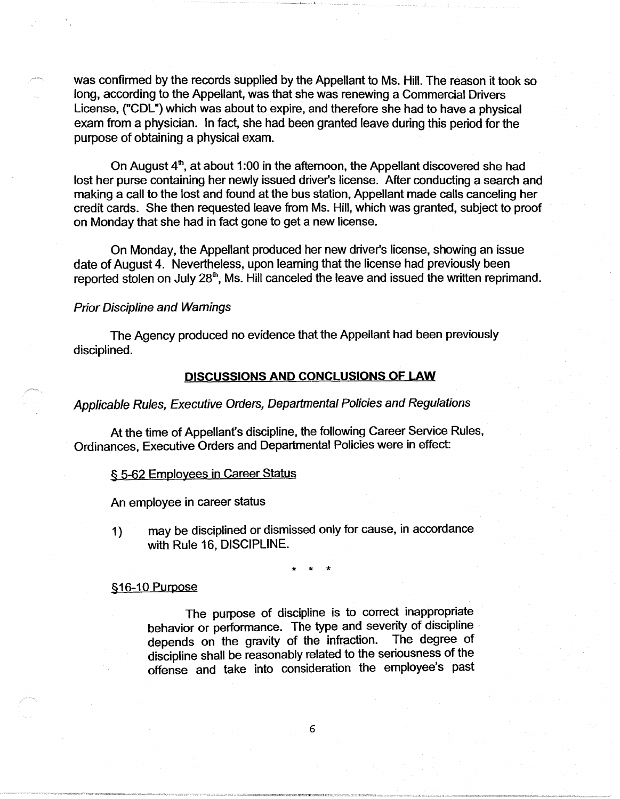was confirmed by the records supplied by the Appellant to Ms. Hill. The reason it took so long, according to the Appellant, was that she was renewing a Commercial Drivers License, ("COL") which was about to expire, and therefore she had to have a physical exam from a physician. In fact, she had been granted leave during this period for the purpose of obtaining a physical exam.

On August 4<sup>th</sup>, at about 1:00 in the afternoon, the Appellant discovered she had lost her purse containing her newly issued driver's license. After conducting a search and making a call to the lost and found at the bus station, Appellant made calls canceling her credit cards. She then requested leave from Ms. Hill, which was granted, subject to proof on Monday that she had in fact gone to get a new license.

On Monday, the Appellant produced her new driver's license, showing an issue date of August 4. Nevertheless, upon learning that the license had previously been reported stolen on July 28<sup>th</sup>, Ms. Hill canceled the leave and issued the written reprimand.

#### Prior Discipline and Warnings

The Agency produced no evidence that the Appellant had been previously disciplined.

#### **DISCUSSIONS AND CONCLUSIONS OF LAW**

## Applicable Rules, Executive Orders, Departmental Policies and Regulations

At the time of Appellant's discipline, the following Career Service Rules, Ordinances, Executive Orders and Departmental Policies were in effect:

#### § 5-62 Employees in Career Status

An employee in career status

1) may be disciplined or dismissed only for cause, in accordance with Rule 16, DISCIPLINE.

\* \* \*

## §16-10 Purpose

The purpose of discipline is to correct inappropriate behavior or performance. The type and severity of discipline depends on the gravity of the infraction. The degree of discipline shall be reasonably related to the seriousness of the offense and take into consideration the employee's past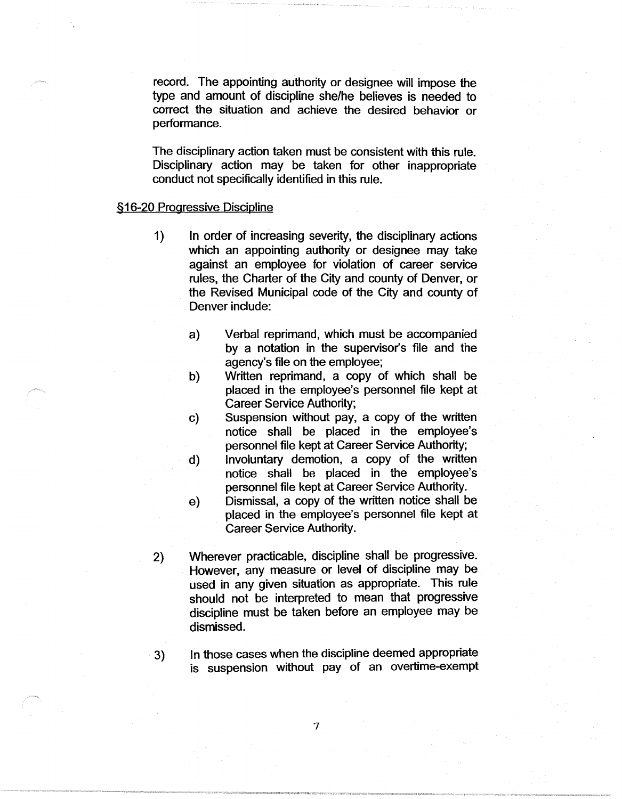record. The appointing authority or designee will impose the type and amount of discipline she/he believes is needed to correct the situation and achieve the desired behavior or performance.

The disciplinary action taken must be consistent with this rule. Disciplinary action may be taken for other inappropriate conduct not specifically identified in this rule.

#### §16-20 Progressive Discipline

- 1) In order of increasing severity, the disciplinary actions which an appointing authority or designee may take against an employee for violation of career service rules, the Charter of the City and county of Denver, or the Revised Municipal code of the City and county of Denver include:
	- a) Verbal reprimand, which must be accompanied by a notation in the supervisor's file and the agency's file on the employee;
	- b) Written reprimand, a copy of which shall be placed in the employee's personnel file kept at Career Service Authority;
	- c) Suspension without pay, a copy of the written notice shall be placed in the employee's personnel file kept at Career Service Authority;
	- d) Involuntary demotion, a copy of the written notice shall be placed in the employee's personnel file kept at Career Service Authority.
	- e) Dismissal, a copy of the written notice shall be placed in the employee's personnel file kept at Career Service Authority.
- 2) Wherever practicable, discipline shall be progressive. However, any measure or level of discipline may be used in any given situation as appropriate. This rule should not be interpreted to mean that progressive discipline must be taken before an employee may be dismissed.
- 3) In those cases when the discipline deemed appropriate is suspension without pay of an overtime-exempt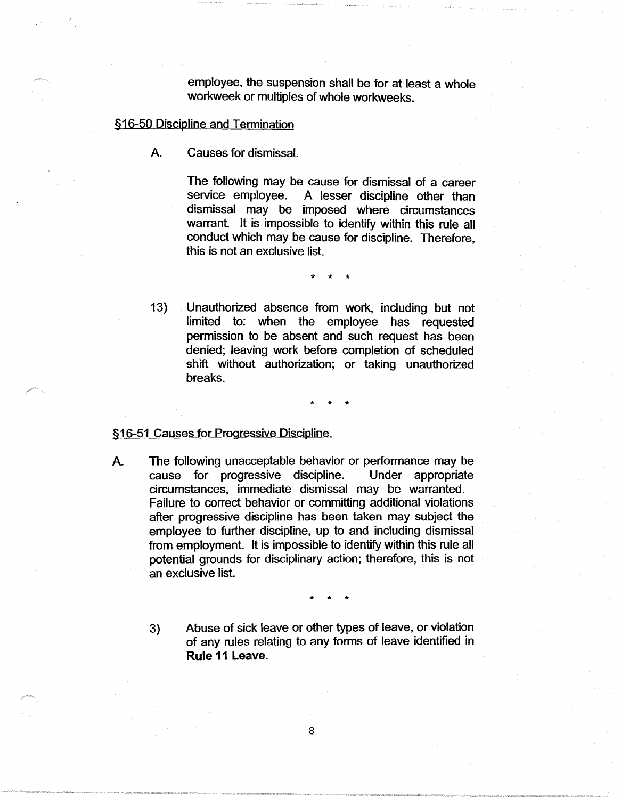employee, the suspension shall be for at least a whole workweek or multiples of whole workweeks.

## §16-50 Discipline and Termination

A. Causes for dismissal.

The following may be cause for dismissal of a career service employee. A lesser discipline other than dismissal may be imposed where circumstances warrant. It is impossible to identify within this rule all conduct which may be cause for discipline. Therefore, this is not an exclusive list.

\* \* \*

13) Unauthorized absence from work, including but not limited to: when the employee has requested permission to be absent and such request has been denied; leaving work before completion of scheduled shift without authorization; or taking unauthorized breaks.

# \* \* \*

## §16-51 Causes for Progressive Discipline.

A. The following unacceptable behavior or performance may be cause for progressive discipline. Under appropriate circumstances, immediate dismissal may be warranted. Failure to correct behavior or committing additional violations after progressive discipline has been taken may subject the employee to further discipline, up to and including dismissal from employment. It is impossible to identify within this rule all potential grounds for disciplinary action; therefore, this is not an exclusive list.

\* \* \*

3) Abuse of sick leave or other types of leave, or violation of any rules relating to any forms of leave identified in **Rule 11 Leave.**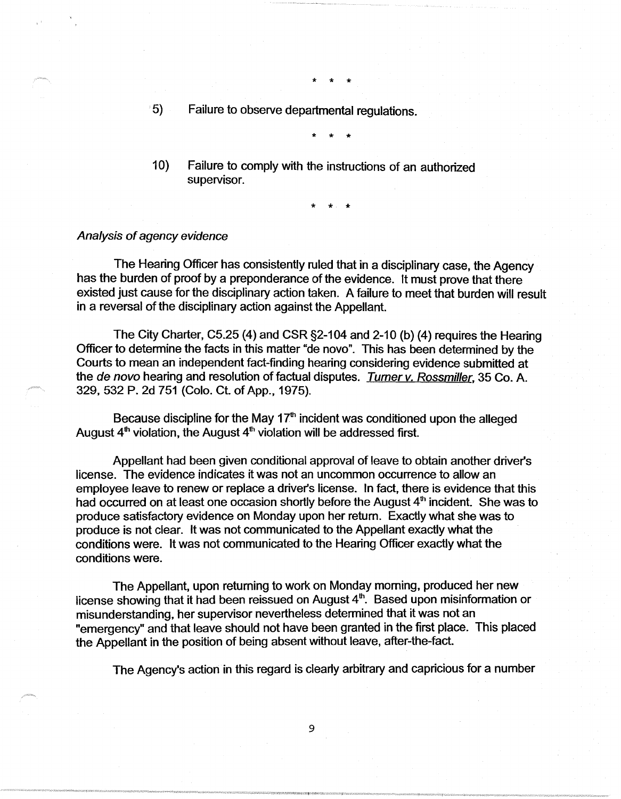5) Failure to observe departmental regulations.

\* \* \*

\* \* \*

10) Failure to comply with the instructions of an authorized supervisor.

\* \* \*

#### Analysis of agency evidence

The Hearing Officer has consistently ruled that in a disciplinary case, the Agency has the burden of proof by a preponderance of the evidence. It must prove that there existed just cause for the disciplinary action taken. A failure to meet that burden will result in a reversal of the disciplinary action against the Appellant.

The City Charter, C5.25 (4) and CSR §2-104 and 2-10 (b) (4) requires the Hearing Officer to determine the facts in this matter "de novo". This has been determined by the Courts to mean an independent fact-finding hearing considering evidence submitted at the de novo hearing and resolution of factual disputes. Turner v. Rossmiller, 35 Co. A. 329, 532 P. 2d 751 (Colo. Ct. of App., 1975).

Because discipline for the May  $17<sup>th</sup>$  incident was conditioned upon the alleged August  $4<sup>th</sup>$  violation, the August  $4<sup>th</sup>$  violation will be addressed first.

Appellant had been given conditional approval of leave to obtain another driver's license. The evidence indicates it was not an uncommon occurrence to allow an employee leave to renew or replace a driver's license. In fact, there is evidence that this had occurred on at least one occasion shortly before the August  $4<sup>th</sup>$  incident. She was to produce satisfactory evidence on Monday upon her return. Exactly what she was to produce is not clear. It was not communicated to the Appellant exactly what the conditions were. It was not communicated to the Hearing Officer exactly what the conditions were.

The Appellant, upon returning to work on Monday morning, produced her new license showing that it had been reissued on August  $4<sup>th</sup>$ . Based upon misinformation or misunderstanding, her supervisor nevertheless determined that it was not an "emergency" and that leave should not have been granted in the first place. This placed the Appellant in the position of being absent without leave, after-the-fact.

The Agency's action in this regard is clearly arbitrary and capricious for a number

9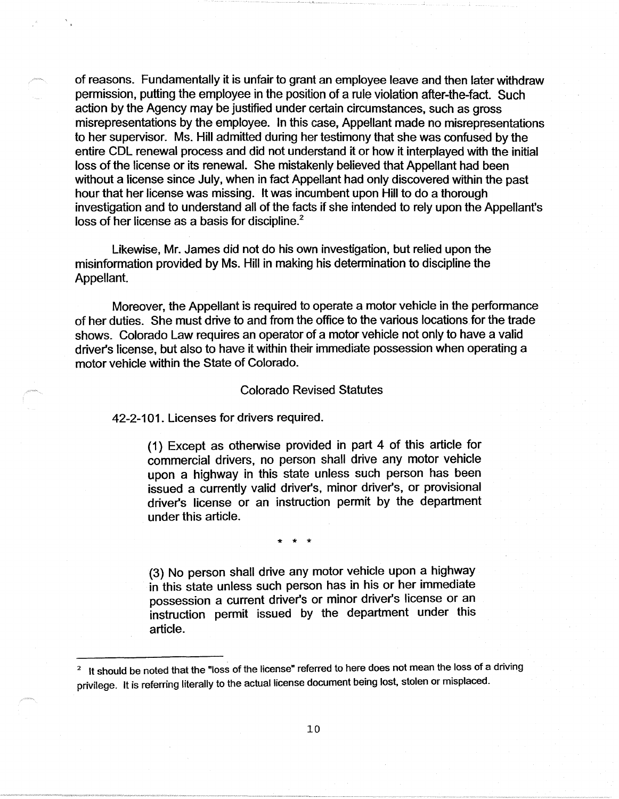of reasons. Fundamentally it is unfair to grant an employee leave and then later withdraw permission, putting the employee in the position of a rule violation after-the-fact. Such action by the Agency may be justified under certain circumstances, such as gross misrepresentations by the employee. In this case, Appellant made no misrepresentations to her supervisor. Ms. Hill admitted during her testimony that she was confused by the entire CDL renewal process and did not understand it or how it interplayed with the initial loss of the license or its renewal. She mistakenly believed that Appellant had been without a license since July, when in fact Appellant had only discovered within the past hour that her license was missing. It was incumbent upon Hill to do a thorough investigation and to understand all of the facts if she intended to rely upon the Appellant's loss of her license as a basis for discipline.<sup>2</sup>

Likewise, Mr. James did not do his own investigation, but relied upon the misinformation provided by Ms. Hill in making his determination to discipline the Appellant.

Moreover, the Appellant is required to operate a motor vehicle in the performance of her duties. She must drive to and from the office to the various locations for the trade shows. Colorado Law requires an operator of a motor vehicle not only to have a valid driver's license, but also to have it within their immediate possession when operating a motor vehicle within the State of Colorado.

#### Colorado Revised Statutes

42-2-101. Licenses for drivers required.

(1) Except as otherwise provided in part 4 of this article for commercial drivers, no person shall drive any motor vehicle upon a highway in this state unless such person has been issued a currently valid driver's, minor driver's, or provisional driver's license or an instruction permit by the department under this article.

\* \* \*

(3) No person shall drive any motor vehicle upon a highway in this state unless such person has in his or her immediate possession a current driver's or minor driver's license or an instruction permit issued by the department under this article.

<sup>&</sup>lt;sup>2</sup> It should be noted that the "loss of the license" referred to here does not mean the loss of a driving privilege. It is referring literally to the actual license document being lost, stolen or misplaced.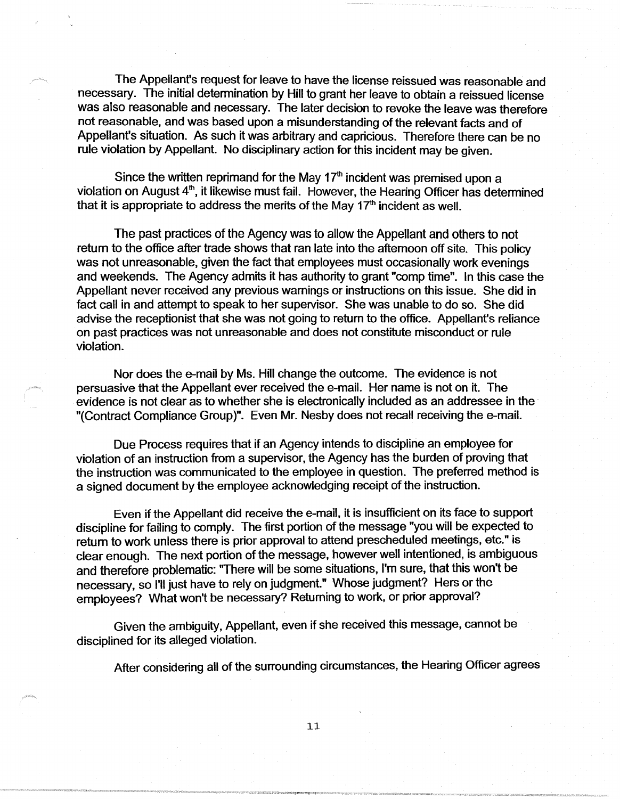The Appellant's request for leave to have the license reissued was reasonable and necessary. The initial determination by Hill to grant her leave to obtain a reissued license was also reasonable and necessary. The later decision to revoke the leave was therefore not reasonable, and was based upon a misunderstanding of the relevant facts and of Appellant's situation. As such it was arbitrary and capricious. Therefore there can be no rule violation by Appellant. No disciplinary action for this incident may be given.

Since the written reprimand for the May  $17<sup>th</sup>$  incident was premised upon a violation on August  $4<sup>th</sup>$ , it likewise must fail. However, the Hearing Officer has determined that it is appropriate to address the merits of the May  $17<sup>th</sup>$  incident as well.

The past practices of the Agency was to allow the Appellant and others to not return to the office after trade shows that ran late into the afternoon off site. This policy was not unreasonable, given the fact that employees must occasionally work evenings and weekends. The Agency admits it has authority to grant "comp time". In this case the Appellant never received any previous warnings or instructions on this issue. She did in fact call in and attempt to speak to her supervisor. She was unable to do so. She did advise the receptionist that she was not going to return to the office. Appellant's reliance on past practices was not unreasonable and does not constitute misconduct or rule violation.

Nor does the e-mail by Ms. Hill change the outcome. The evidence is not persuasive that the Appellant ever received the e-mail. Her name is not on it. The evidence is not clear as to whether she is electronically included as an addressee in the · "(Contract Compliance Group)". Even Mr. Nesby does not recall receiving the e-mail.

Due Process requires that if an Agency intends to discipline an employee for violation of an instruction from a supervisor, the Agency has the burden of proving that the instruction was communicated to the employee in question. The preferred method is a signed document by the employee acknowledging receipt of the instruction.

Even if the Appellant did receive the e-mail, it is insufficient on its face to support discipline for failing to comply. The first portion of the message "you will be expected to return to work unless there is prior approval to attend prescheduled meetings, etc." is clear enough. The next portion of the message, however well intentioned, is ambiguous and therefore problematic: "There will be some situations, I'm sure, that this won't be necessary, so I'll just have to rely on judgment." Whose judgment? Hers or the employees? What won't be necessary? Returning to work, or prior approval?

Given the ambiguity, Appellant, even if she received this message, cannot be disciplined for its alleged violation.

After considering all of the surrounding circumstances, the Hearing Officer agrees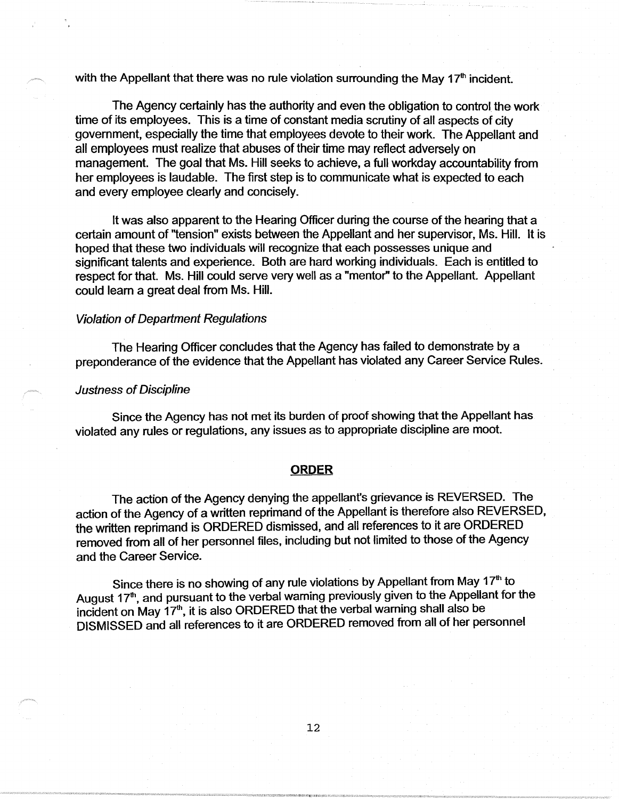with the Appellant that there was no rule violation surrounding the May  $17<sup>th</sup>$  incident.

The Agency certainly has the authority and even the obligation to control the work time of its employees. This is a time of constant media scrutiny of all aspects of city government, especially the time that employees devote to their work. The Appellant and all employees must realize that abuses of their time may reflect adversely on management. The goal that Ms. Hill seeks to achieve, a full workday accountability from her employees is laudable. The first step is to communicate what is expected to each and every employee clearly and concisely.

It was also apparent to the Hearing Officer during the course of the hearing that a certain amount of "tension" exists between the Appellant and her supervisor, Ms. Hill. It is hoped that these two individuals will recognize that each possesses unique and significant talents and experience. Both are hard working individuals. Each is entitled to respect for that. Ms. Hill could serve very well as a "mentor'' to the Appellant. Appellant could learn a great deal from Ms. Hill.

## Violation of Department Regulations

The Hearing Officer concludes that the Agency has failed to demonstrate by a preponderance of the evidence that the Appellant has violated any Career Service Rules.

#### Justness of Discipline

Since the Agency has not met its burden of proof showing that the Appellant has violated any rules or regulations, any issues as to appropriate discipline are moot.

#### **ORDER**

The action of the Agency denying the appellant's grievance is REVERSED. The action of the Agency of a written reprimand of the Appellant is therefore also REVERSED, the written reprimand is ORDERED dismissed, and all references to it are ORDERED removed from all of her personnel files, including but not limited to those of the Agency and the Career Service.

Since there is no showing of any rule violations by Appellant from May 17<sup>th</sup> to August 17<sup>th</sup>, and pursuant to the verbal warning previously given to the Appellant for the incident on May 17<sup>th</sup>, it is also ORDERED that the verbal warning shall also be DISMISSED and all references to it are ORDERED removed from all of her personnel